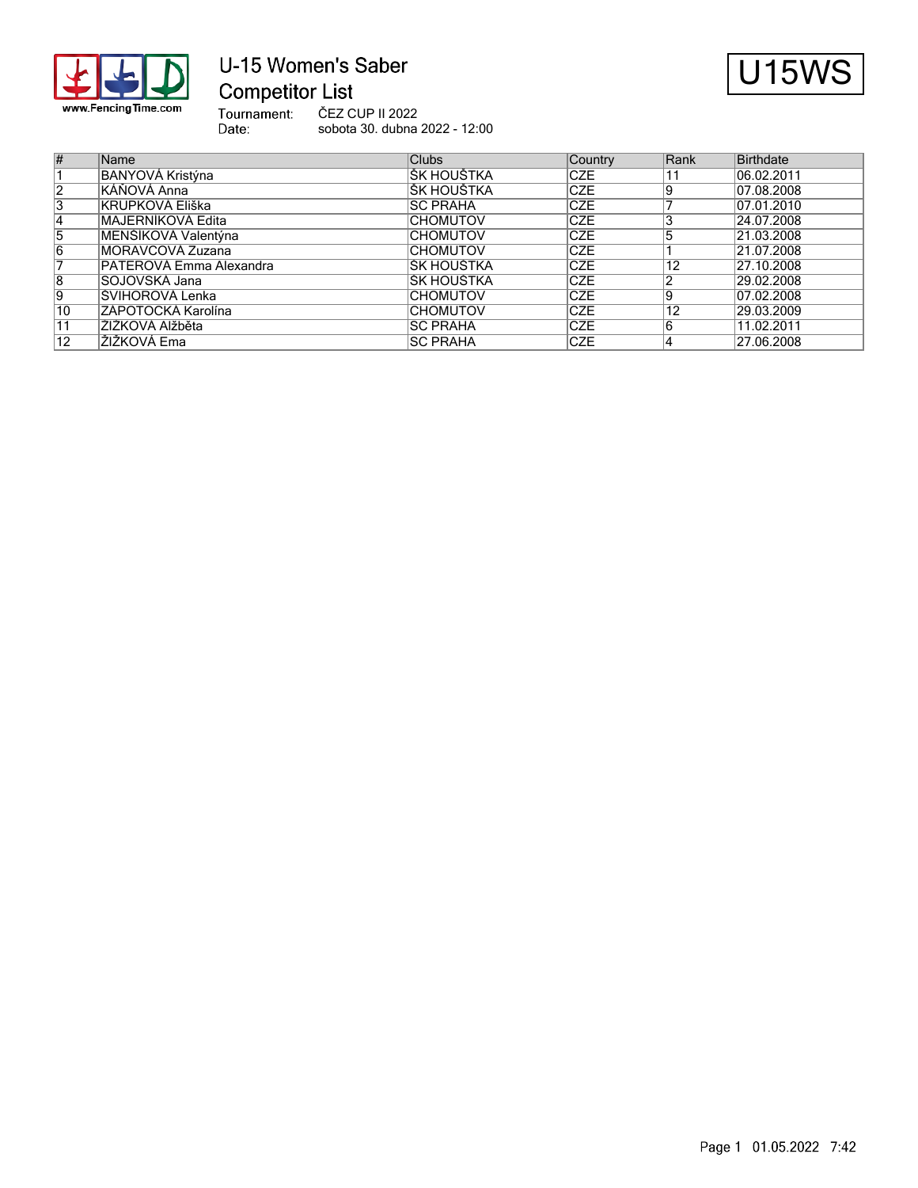

# U-15 Women's Saber **Competitor List**



Tournament:<br>Date: ČEZ CUP II 2022 sobota 30. dubna 2022 - 12:00

| #               | Name                    | <b>Clubs</b>     | <b>Country</b> | Rank | Birthdate  |
|-----------------|-------------------------|------------------|----------------|------|------------|
|                 | <b>BANYOVÁ Kristýna</b> | IŠK HOUŠTKA      | <b>ICZE</b>    |      | 06.02.2011 |
| 2               | KÁŇOVÁ Anna             | IŠK HOUŠTKA      | <b>CZE</b>     |      | 07.08.2008 |
| 3               | <b>KRUPKOVÁ Eliška</b>  | <b>ISC PRAHA</b> | <b>CZE</b>     |      | 07.01.2010 |
| $\overline{4}$  | MAJERNÍKOVÁ Edita       | <b>CHOMUTOV</b>  | <b>CZE</b>     |      | 24.07.2008 |
| 15              | MENŠÍKOVÁ Valentýna     | <b>CHOMUTOV</b>  | <b>ICZE</b>    |      | 21.03.2008 |
| 16              | MORAVCOVÁ Zuzana        | <b>CHOMUTOV</b>  | <b>ICZE</b>    |      | 21.07.2008 |
|                 | PATEROVÁ Emma Alexandra | IŠK HOUŠTKA      | <b>CZE</b>     | 12   | 27.10.2008 |
| 8               | SOJOVSKÁ Jana           | IŠK HOUŠTKA      | <b>ICZE</b>    |      | 29.02.2008 |
| 19              | ŠVIHOROVÁ Lenka         | <b>CHOMUTOV</b>  | <b>ICZE</b>    |      | 07.02.2008 |
| 10              | ZÁPOTOCKÁ Karolína      | <b>CHOMUTOV</b>  | <b>ICZE</b>    | 12   | 29.03.2009 |
| $\overline{11}$ | ŽIŽKOVÁ Alžběta         | ISC PRAHA        | <b>CZE</b>     |      | 11.02.2011 |
| 12              | ŽIŽKOVÁ Ema             | <b>ISC PRAHA</b> | <b>CZE</b>     |      | 27.06.2008 |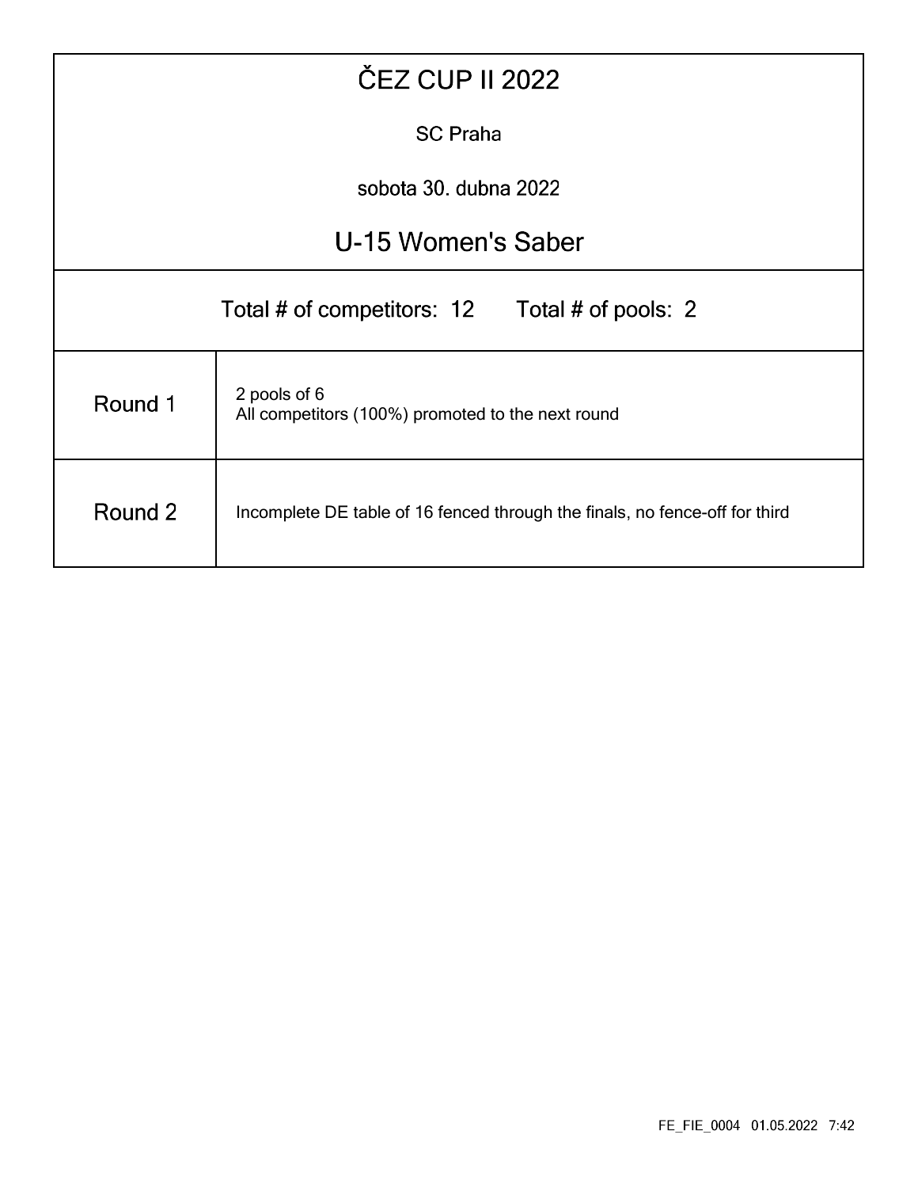| <b>ČEZ CUP II 2022</b>                                                                 |                                                                   |  |  |  |  |  |  |  |  |  |  |
|----------------------------------------------------------------------------------------|-------------------------------------------------------------------|--|--|--|--|--|--|--|--|--|--|
| <b>SC Praha</b>                                                                        |                                                                   |  |  |  |  |  |  |  |  |  |  |
| sobota 30. dubna 2022                                                                  |                                                                   |  |  |  |  |  |  |  |  |  |  |
| U-15 Women's Saber                                                                     |                                                                   |  |  |  |  |  |  |  |  |  |  |
|                                                                                        | Total # of competitors: 12 Total # of pools: 2                    |  |  |  |  |  |  |  |  |  |  |
| Round 1                                                                                | 2 pools of 6<br>All competitors (100%) promoted to the next round |  |  |  |  |  |  |  |  |  |  |
| Round 2<br>Incomplete DE table of 16 fenced through the finals, no fence-off for third |                                                                   |  |  |  |  |  |  |  |  |  |  |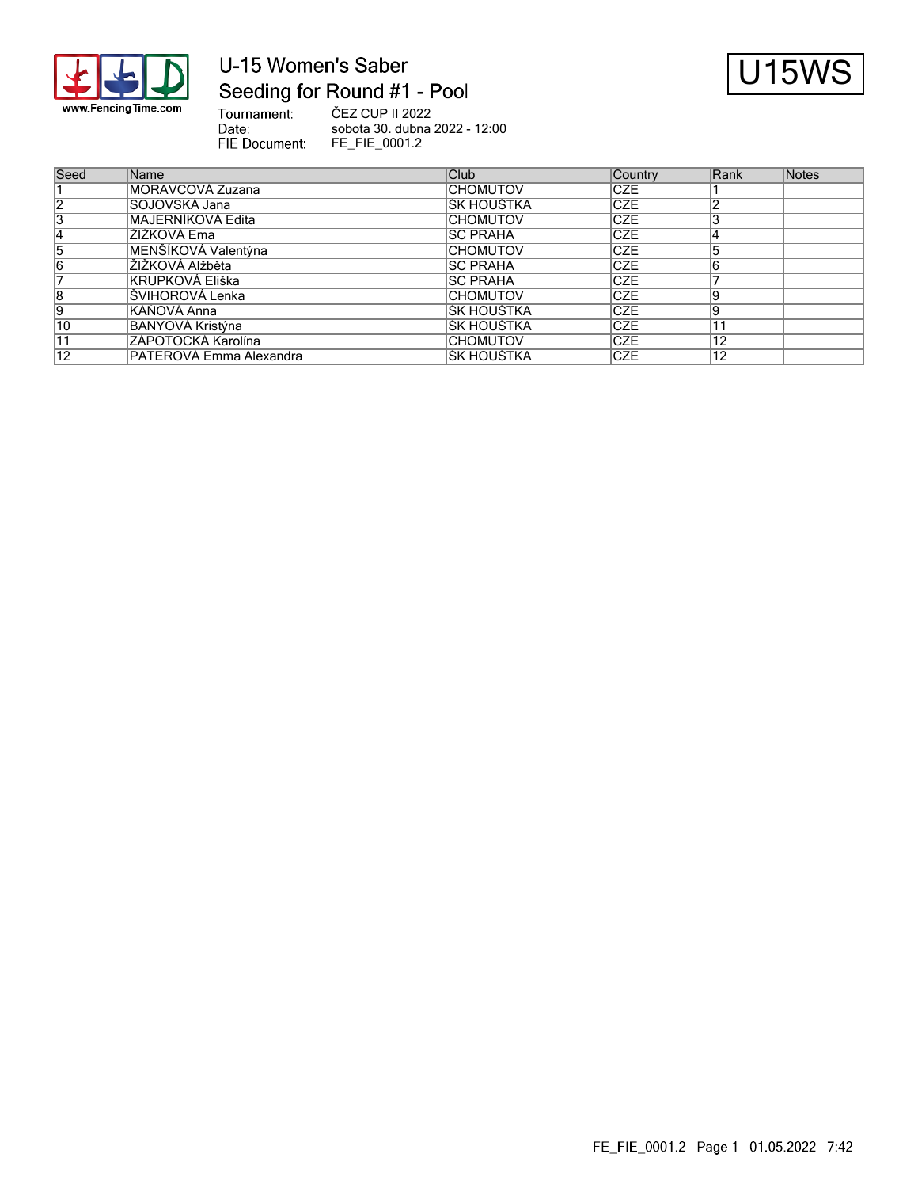

## U-15 Women's Saber Seeding for Round #1 - Pool



Tournament: ČEZ CUP II 2022 Date: sobota 30. dubna 2022 - 12:00 FIE Document: FE\_FIE\_0001.2

| Seed            | Name                    | Club             | <b>Country</b> | Rank | Notes |
|-----------------|-------------------------|------------------|----------------|------|-------|
|                 | MORAVCOVÁ Zuzana        | <b>CHOMUTOV</b>  | <b>CZE</b>     |      |       |
| $\overline{2}$  | SOJOVSKÁ Jana           | ŠK HOUŠTKA       | <b>CZE</b>     |      |       |
| 3               | MAJERNÍKOVÁ Edita       | <b>CHOMUTOV</b>  | <b>CZE</b>     |      |       |
| 14              | ŽIŽKOVÁ Ema             | <b>ISC PRAHA</b> | <b>CZE</b>     |      |       |
| 5               | MENŠÍKOVÁ Valentýna     | <b>CHOMUTOV</b>  | <b>CZE</b>     |      |       |
| $\overline{6}$  | IŽIŽKOVÁ Alžběta        | <b>ISC PRAHA</b> | <b>CZE</b>     |      |       |
|                 | KRUPKOVÁ Eliška         | <b>ISC PRAHA</b> | <b>CZE</b>     |      |       |
| $\overline{8}$  | ŠVIHOROVÁ Lenka         | <b>CHOMUTOV</b>  | <b>CZE</b>     |      |       |
| 9               | KÁŇOVÁ Anna             | ŠK HOUŠTKA       | <b>CZE</b>     |      |       |
| $\overline{10}$ | BANYOVÁ Kristýna        | ŠK HOUŠTKA       | <b>CZE</b>     |      |       |
| 11              | ZÁPOTOCKÁ Karolína      | <b>CHOMUTOV</b>  | <b>CZE</b>     | 12   |       |
| 12              | PATEROVÁ Emma Alexandra | ŠK HOUŠTKA       | <b>ICZE</b>    | 12   |       |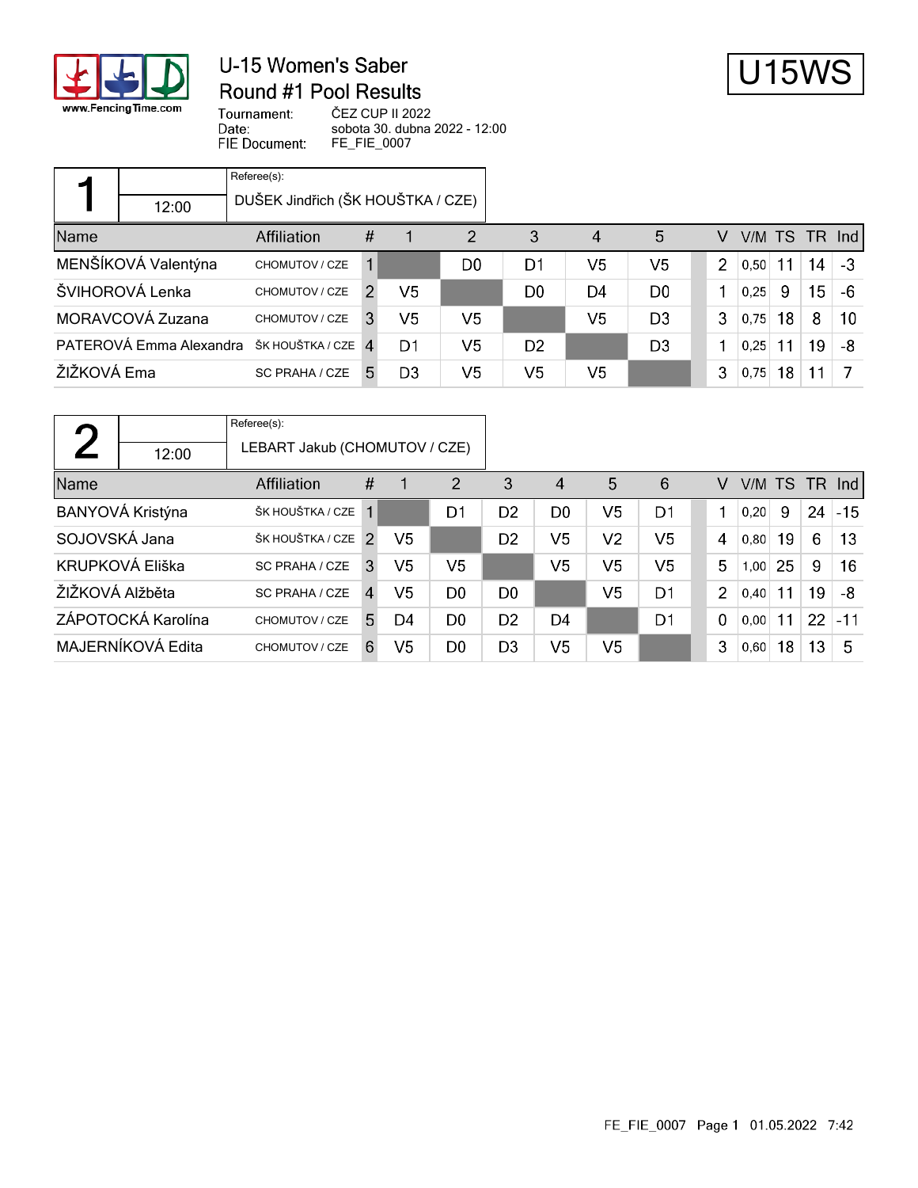

#### U-15 Women's Saber Round #1 Pool Results



Tournament: Date: FIE Document: ČEZ CUP II 2022 sobota 30. dubna 2022 - 12:00 FE\_FIE\_0007

|             |                         | Referee(s):                       |    |                |                |                |                |                |   |      |    |    |               |
|-------------|-------------------------|-----------------------------------|----|----------------|----------------|----------------|----------------|----------------|---|------|----|----|---------------|
|             | 12:00                   | DUŠEK Jindřich (ŠK HOUŠTKA / CZE) |    |                |                |                |                |                |   |      |    |    |               |
| Name        |                         | Affiliation                       | #  |                | 2              | 3              | 4              | 5              | v |      |    |    | V/M TS TR Ind |
|             | MENŠÍKOVÁ Valentýna     | CHOMUTOV / CZE                    | 1  |                | D <sub>0</sub> | D1             | V5             | V5             | 2 | 0,50 | 11 | 14 | $-3$          |
|             | ŠVIHOROVÁ Lenka         | CHOMUTOV / CZE                    | 2  | V5             |                | D <sub>0</sub> | D4             | D <sub>0</sub> |   | 0.25 | 9  | 15 | -6            |
|             | MORAVCOVÁ Zuzana        | CHOMUTOV / CZE                    | 3. | V5             | V5             |                | V <sub>5</sub> | D <sub>3</sub> | 3 | 0.75 | 18 | 8  | 10            |
|             | PATEROVÁ Emma Alexandra | ŠK HOUŠTKA / CZE 4                |    | D1             | V5             | D <sub>2</sub> |                | D <sub>3</sub> |   | 0.25 | 11 | 19 | -8            |
| ŽIŽKOVÁ Ema |                         | SC PRAHA / CZE                    | 5. | D <sub>3</sub> | V <sub>5</sub> | V <sub>5</sub> | V <sub>5</sub> |                | 3 | 0,75 | 18 | 11 |               |

| η               |                    | Referee(s):                   |                |                |                |                |                |                |                |                |      |    |     |        |
|-----------------|--------------------|-------------------------------|----------------|----------------|----------------|----------------|----------------|----------------|----------------|----------------|------|----|-----|--------|
|                 | 12:00              | LEBART Jakub (CHOMUTOV / CZE) |                |                |                |                |                |                |                |                |      |    |     |        |
| Name            |                    | <b>Affiliation</b>            | $\#$           |                | 2              | 3              | 4              | 5              | 6              | v              | V/M  | TS | TR. | Ind    |
|                 | BANYOVÁ Kristýna   | ŠK HOUŠTKA / CZE              | 1              |                | D1             | D <sub>2</sub> | D <sub>0</sub> | V5             | D1             |                | 0.20 | 9  | 24  | $-15$  |
| SOJOVSKÁ Jana   |                    | ŠK HOUŠTKA / CZE              | $\mathcal{P}$  | V5             |                | D <sub>2</sub> | V <sub>5</sub> | V2             | V5             | 4              | 0.80 | 19 | 6   | 13     |
|                 | KRUPKOVÁ Eliška    | SC PRAHA / CZE                | 3              | V5             | V5             |                | V <sub>5</sub> | V <sub>5</sub> | V <sub>5</sub> | 5              | 1,00 | 25 | 9   | 16     |
| ŽIŽKOVÁ Alžběta |                    | SC PRAHA / CZE                | $\overline{A}$ | V <sub>5</sub> | D <sub>0</sub> | D <sub>0</sub> |                | V <sub>5</sub> | D1             | $\overline{2}$ | 0.40 | 11 | 19  | -8     |
|                 | ZÁPOTOCKÁ Karolína | CHOMUTOV / CZE                | 5              | D4             | D <sub>0</sub> | D <sub>2</sub> | D4             |                | D1             | $\mathbf 0$    | 0.00 | 11 | 22  | $ -11$ |
|                 | MAJERNÍKOVÁ Edita  | CHOMUTOV / CZE                | 6              | V5             | D <sub>0</sub> | D <sub>3</sub> | V <sub>5</sub> | V5             |                | 3              | 0,60 | 18 | 13  | 5      |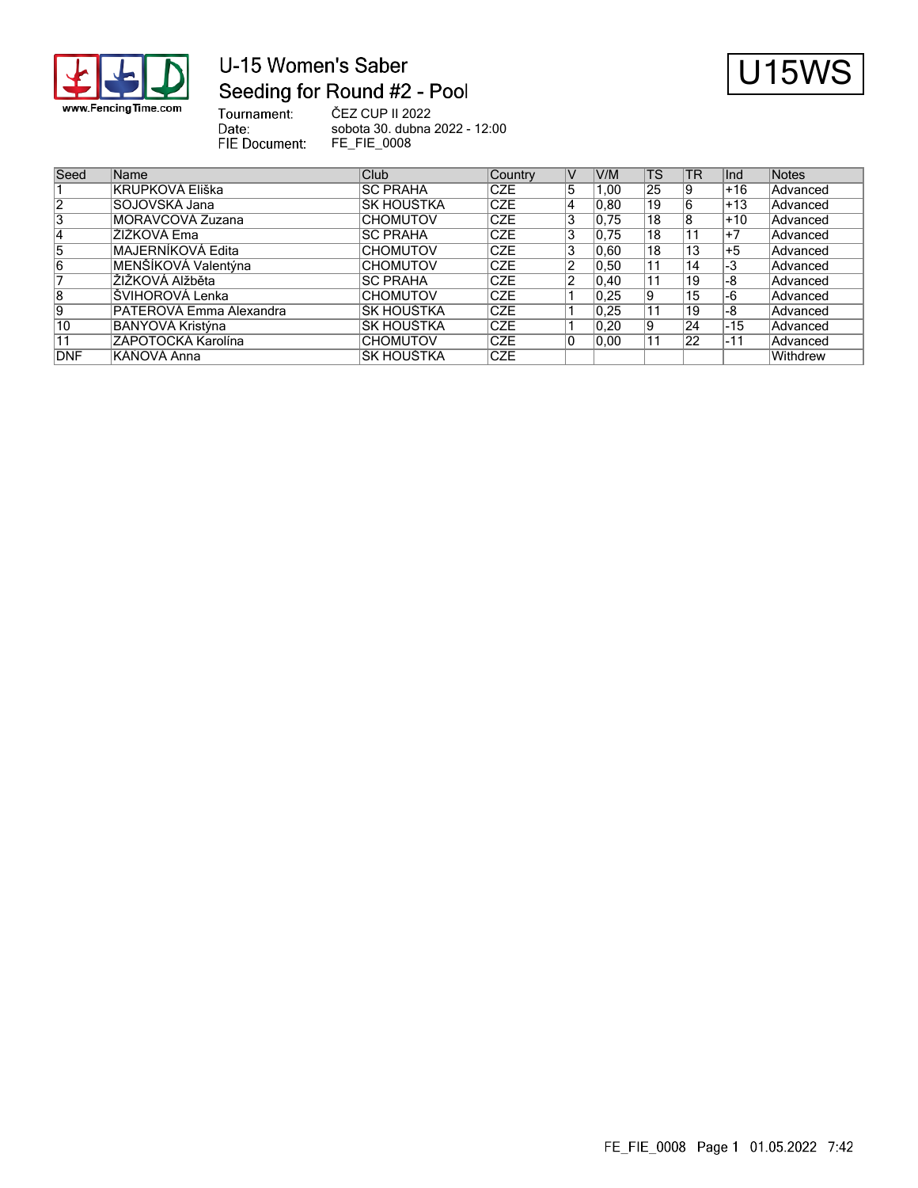

## U-15 Women's Saber Seeding for Round #2 - Pool



Tournament: ČEZ CUP II 2022 Date: sobota 30. dubna 2022 - 12:00 FIE Document: FE\_FIE\_0008

| Seed           | Name                     | Club             | Country    | V              | V/M            | <b>TS</b>       | <b>TR</b> | llnd   | Notes           |
|----------------|--------------------------|------------------|------------|----------------|----------------|-----------------|-----------|--------|-----------------|
|                | KRUPKOVÁ Eliška          | <b>SC PRAHA</b>  | <b>CZE</b> | 5              | 0.00           | 25              | 19        | $+16$  | Advanced        |
| 12             | SOJOVSKÁ Jana            | ŠK HOUŠTKA       | <b>CZE</b> | 14             | 0.80           | 19              |           | l+13   | Advanced        |
| 3              | MORAVCOVÁ Zuzana         | <b>CHOMUTOV</b>  | <b>CZE</b> | 3              | 0.75           | 18              |           | $+10$  | Advanced        |
| 14             | ŽIŽKOVÁ Ema              | <b>ISC PRAHA</b> | <b>CZE</b> | 3              | 0.75           | 18              |           | l+7    | Advanced        |
| 5              | <b>MAJERNÍKOVÁ Edita</b> | <b>CHOMUTOV</b>  | <b>CZE</b> | 3              | 0,60           | 18              | 13        | $+5$   | <b>Advanced</b> |
| $\overline{6}$ | MENŠÍKOVÁ Valentýna      | <b>CHOMUTOV</b>  | <b>CZE</b> |                | 0,50           | $1\overline{1}$ | 14        | -3     | Advanced        |
|                | <b>ŽIŽKOVÁ Alžběta</b>   | <b>ISC PRAHA</b> | <b>CZE</b> | $\overline{2}$ | $ 0,40\rangle$ | 11              | 19        | -8     | <b>Advanced</b> |
| 8              | ŠVIHOROVÁ Lenka          | <b>CHOMUTOV</b>  | <b>CZE</b> |                | 0.25           | 9               | 15        | -6     | Advanced        |
| Ι9             | PATEROVÁ Emma Alexandra  | IŠK HOUŠTKA      | <b>CZE</b> |                | 0.25           |                 | 19        | -8     | Advanced        |
| 10             | BANYOVÁ Kristýna         | IŠK HOUŠTKA      | <b>CZE</b> |                | 0,20           | 9               | 24        | $ -15$ | Advanced        |
| 11             | ZÁPOTOCKÁ Karolína       | <b>CHOMUTOV</b>  | <b>CZE</b> | 10             | 0.00           |                 | 22        | $ -11$ | Advanced        |
| <b>DNF</b>     | KÁŇOVÁ Anna              | IŠK HOUŠTKA      | <b>CZE</b> |                |                |                 |           |        | Withdrew        |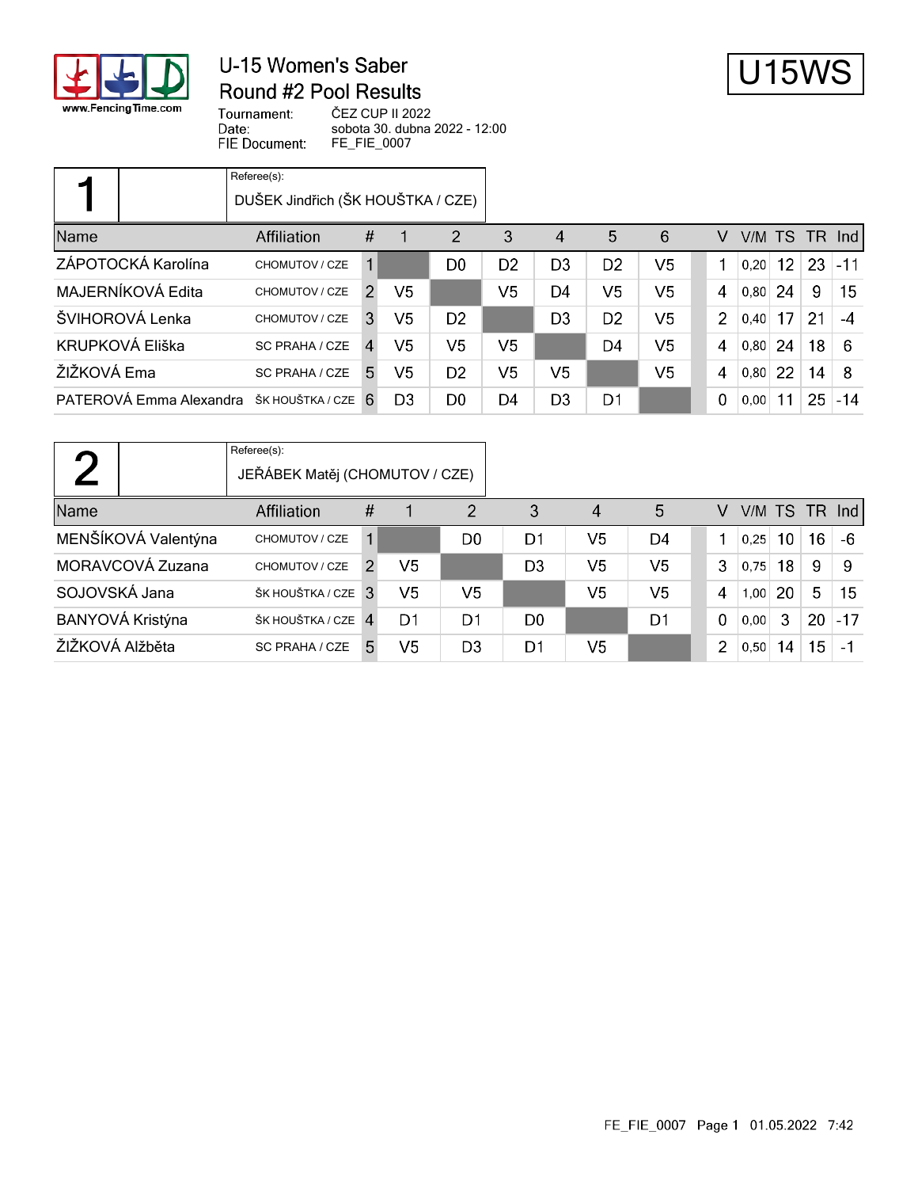

#### U-15 Women's Saber Round #2 Pool Results



Tournament: Date: FIE Document: ČEZ CUP II 2022 sobota 30. dubna 2022 - 12:00 FE\_FIE\_0007

|                         | Referee(s):<br>DUŠEK Jindřich (ŠK HOUŠTKA / CZE) |              |                |                |                |                |                |                |                |      |                 |     |            |
|-------------------------|--------------------------------------------------|--------------|----------------|----------------|----------------|----------------|----------------|----------------|----------------|------|-----------------|-----|------------|
| Name                    | <b>Affiliation</b>                               | #            |                | $\overline{2}$ | 3              | $\overline{4}$ | 5              | 6              | V              | V/M  | <b>TS</b>       | TR. | <b>Ind</b> |
| ZÁPOTOCKÁ Karolína      | CHOMUTOV / CZE                                   | 1            |                | D0             | D <sub>2</sub> | D <sub>3</sub> | D <sub>2</sub> | V5             |                | 0.20 | 12 <sup>2</sup> | 23  | $-11$      |
| MAJERNÍKOVÁ Edita       | CHOMUTOV / CZE                                   | 2            | V <sub>5</sub> |                | V <sub>5</sub> | D4             | V5             | V5             | 4              | 0.80 | 24              | 9   | 15         |
| ŠVIHOROVÁ Lenka         | CHOMUTOV / CZE                                   | 3            | V <sub>5</sub> | D <sub>2</sub> |                | D <sub>3</sub> | D <sub>2</sub> | V <sub>5</sub> | $\mathcal{P}$  | 0.40 | 17              | 21  | -4         |
| KRUPKOVÁ Eliška         | SC PRAHA / CZE                                   | $\mathbf{A}$ | V5             | V5             | V5             |                | D4             | V5             | 4              | 0.80 | 24              | 18  | -6         |
| ŽIŽKOVÁ Ema             | SC PRAHA / CZE                                   | 5.           | V <sub>5</sub> | D <sub>2</sub> | V5             | V5             |                | V <sub>5</sub> | $\overline{4}$ | 0.80 | 22              | 14  | -8         |
| PATEROVÁ Emma Alexandra | ŠK HOUŠTKA / CZE                                 | 6            | D3             | D0             | D4             | D <sub>3</sub> | D1             |                | $\Omega$       | 0.00 | 11              | 25  | $-14$      |

|                     | Referee(s):        | JEŘÁBEK Matěj (CHOMUTOV / CZE) |                |                |                |                |                |                |      |    |        |       |
|---------------------|--------------------|--------------------------------|----------------|----------------|----------------|----------------|----------------|----------------|------|----|--------|-------|
| Name                | <b>Affiliation</b> | #                              |                | 2              | 3              | 4              | 5              | v              | V/M  |    | TS TR  | nd    |
| MENŠÍKOVÁ Valentýna | CHOMUTOV / CZE     |                                |                | D <sub>0</sub> | D1             | V5             | D4             |                | 0.25 | 10 | 16     | -6    |
| MORAVCOVÁ Zuzana    | CHOMUTOV / CZE     | 2                              | V5             |                | D <sub>3</sub> | V <sub>5</sub> | V <sub>5</sub> | 3              | 0.75 | 18 | 9      | -9    |
| SOJOVSKÁ Jana       | ŠK HOUŠTKA / CZE   | 3                              | V5             | V5             |                | V <sub>5</sub> | V <sub>5</sub> | 4              | 1,00 | 20 | 5      | 15    |
| BANYOVÁ Kristýna    | ŠK HOUŠTKA / CZE   | $\overline{4}$                 | D1             | D <sub>1</sub> | D <sub>0</sub> |                | D <sub>1</sub> | $\Omega$       | 0.00 | 3  | 20     | $-17$ |
| ŽIŽKOVÁ Alžběta     | SC PRAHA / CZE     | 5.                             | V <sub>5</sub> | D <sub>3</sub> | D1             | V5             |                | $\overline{2}$ | 0,50 | 14 | $15\,$ | -1    |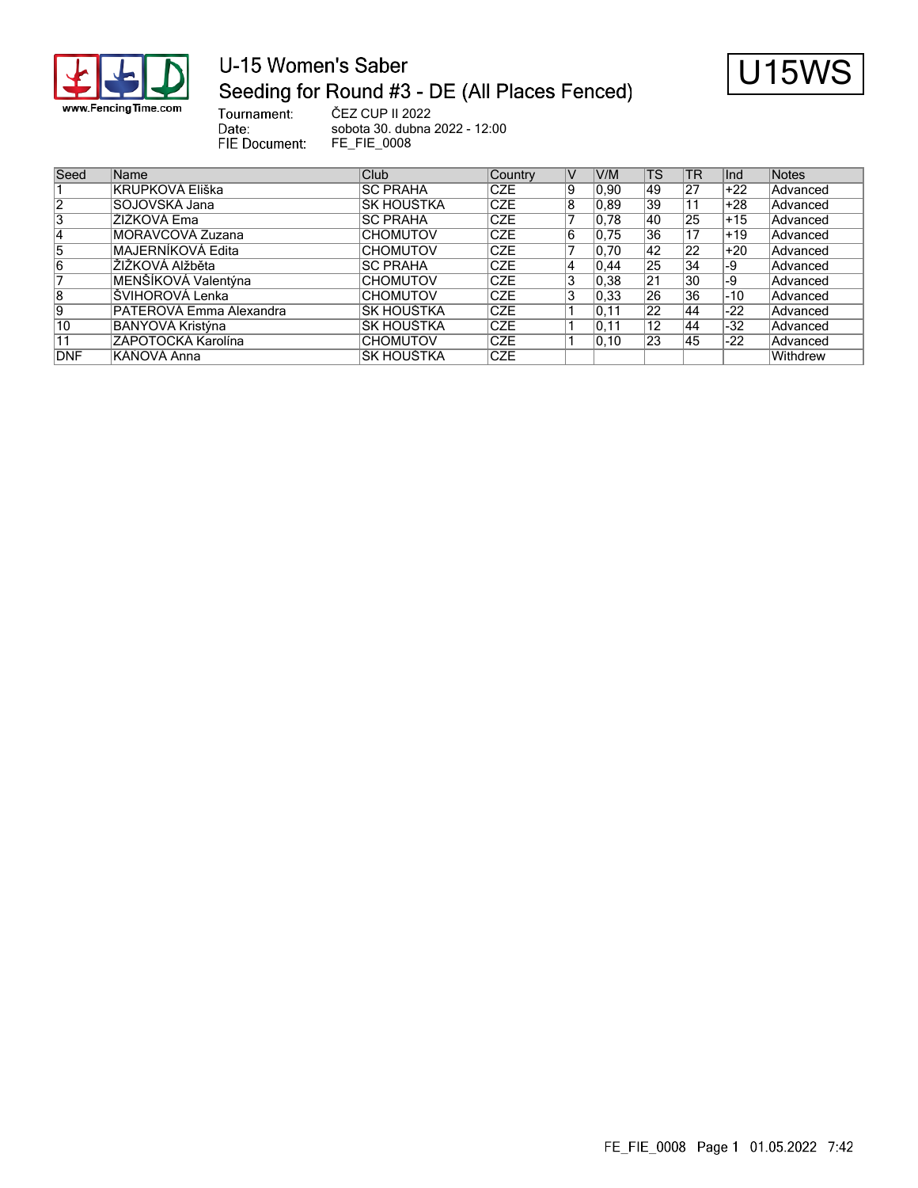

# U-15 Women's Saber Seeding for Round #3 - DE (All Places Fenced)



Tournament: ČEZ CUP II 2022 Date: sobota 30. dubna 2022 - 12:00 FIE Document: FE\_FIE\_0008

| Seed           | <b>Name</b>              | Club.            | Country    | IV | V/M            | <b>TS</b>       | TR              | lInd  | Notes    |
|----------------|--------------------------|------------------|------------|----|----------------|-----------------|-----------------|-------|----------|
|                | KRUPKOVÁ Eliška          | <b>ISC PRAHA</b> | <b>CZE</b> | 9  | 0.90           | 49              | 27              | $+22$ | Advanced |
| $\overline{2}$ | SOJOVSKÁ Jana            | ŠK HOUŠTKA       | <b>CZE</b> | 8  | 0.89           | 39              |                 | ∣+28  | Advanced |
| 3              | ŽIŽKOVÁ Ema              | <b>ISC PRAHA</b> | <b>CZE</b> |    | 0.78           | 40              | 25              | $+15$ | Advanced |
| 14             | MORAVCOVÁ Zuzana         | <b>CHOMUTOV</b>  | <b>CZE</b> | 16 | 0.75           | 36              |                 | $+19$ | Advanced |
| 5              | <b>MAJERNÍKOVÁ Edita</b> | <b>CHOMUTOV</b>  | <b>CZE</b> |    | 0.70           | 42              | 22              | +20   | Advanced |
| 6              | ÍŽIŽKOVÁ Alžběta         | <b>ISC PRAHA</b> | <b>CZE</b> | 4  | 0.44           | $2\overline{5}$ | 34              | I-9   | Advanced |
|                | MENŠÍKOVÁ Valentýna      | <b>CHOMUTOV</b>  | <b>CZE</b> | 3  | 0.38           | 21              | 30              | l-9   | Advanced |
| 8              | ŠVIHOROVÁ Lenka          | <b>CHOMUTOV</b>  | <b>CZE</b> | 3  | 0.33           | $\overline{26}$ | $\overline{36}$ | $-10$ | Advanced |
| Ι9             | PATEROVÁ Emma Alexandra  | IŠK HOUŠTKA      | <b>CZE</b> |    | 0.11           | $\overline{22}$ | 44              | $-22$ | Advanced |
| 10             | BANYOVÁ Kristýna         | IŠK HOUŠTKA      | <b>CZE</b> |    | 0.11           | $\overline{12}$ | 44              | -32   | Advanced |
| 11             | ZÁPOTOCKÁ Karolína       | <b>CHOMUTOV</b>  | <b>CZE</b> |    | $ 0.10\rangle$ | 23              | 45              | $-22$ | Advanced |
| DNF            | KÁŇOVÁ Anna              | IŠK HOUŠTKA      | <b>CZE</b> |    |                |                 |                 |       | Withdrew |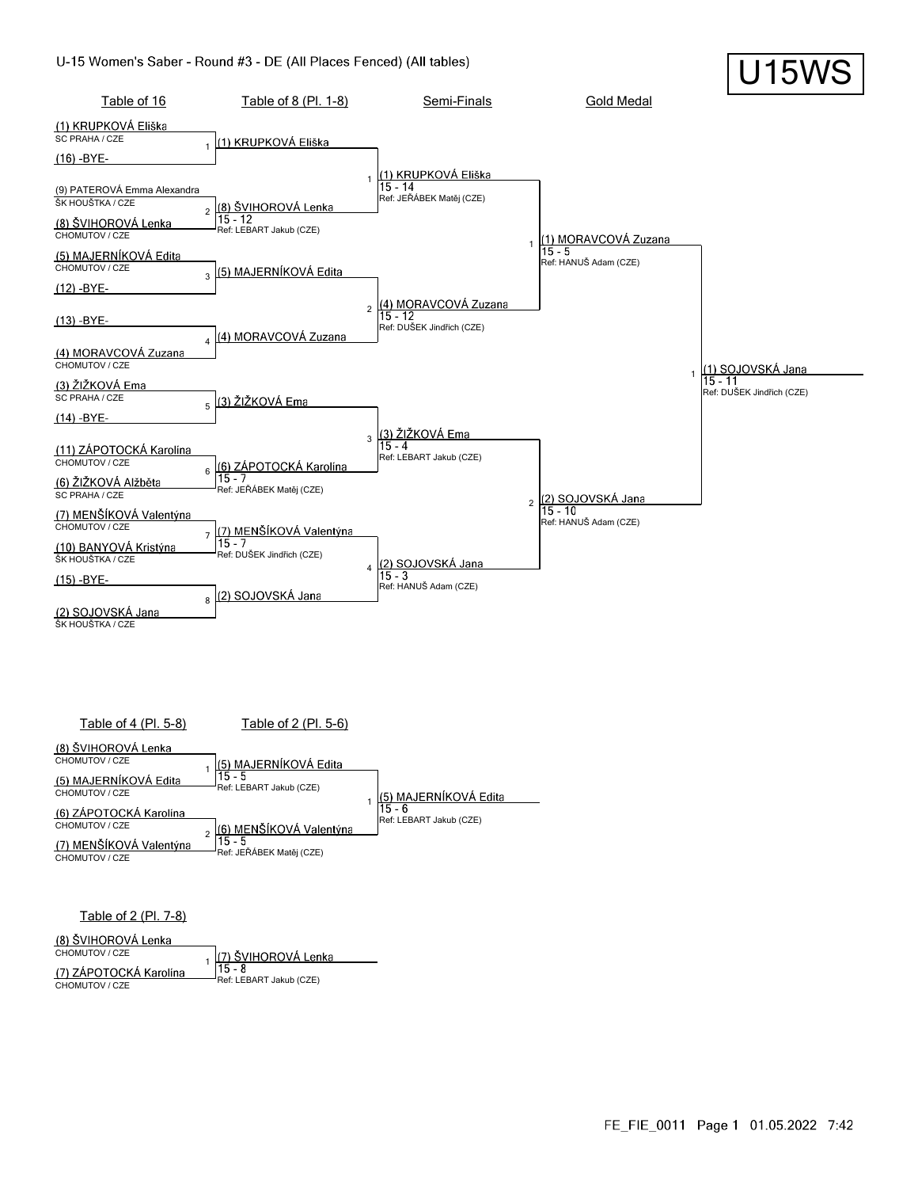

Table of 4 (Pl. 5-8) Table of 2 (Pl. 5-6) (8) ŠVIHOROVÁ Lenka CHOMUTOV / CZE (5) MAJERNÍKOVÁ Edita 1  $15 - 5$ (5) MAJERNÍKOVÁ Edita Ref: LEBART Jakub (CZE) |<br>|<u>(5) MAJERNÍKOVÁ Edita</u><br>|15 - 6 CHOMUTOV / CZE 1 (6) ZÁPOTOCKÁ Karolína Ref: LEBART Jakub (CZE) (6) MENŠÍKOVÁ Valentýna<br>|15 - 5 CHOMUTOV / CZE  $\mathfrak{2}$ (7) MENŠÍKOVÁ Valentýna Ref: JEŘÁBEK Matěj (CZE) CHOMUTOV / CZE

Table of 2 (Pl. 7-8)

(8) ŠVIHOROVÁ Lenka

CHOMUTOV / CZE (7) ŠVIHOROVÁ Lenka 1 (7) ZÁPOTOCKÁ Karolína 15 - 8 Ref: LEBART Jakub (CZE) CHOMUTOV / CZE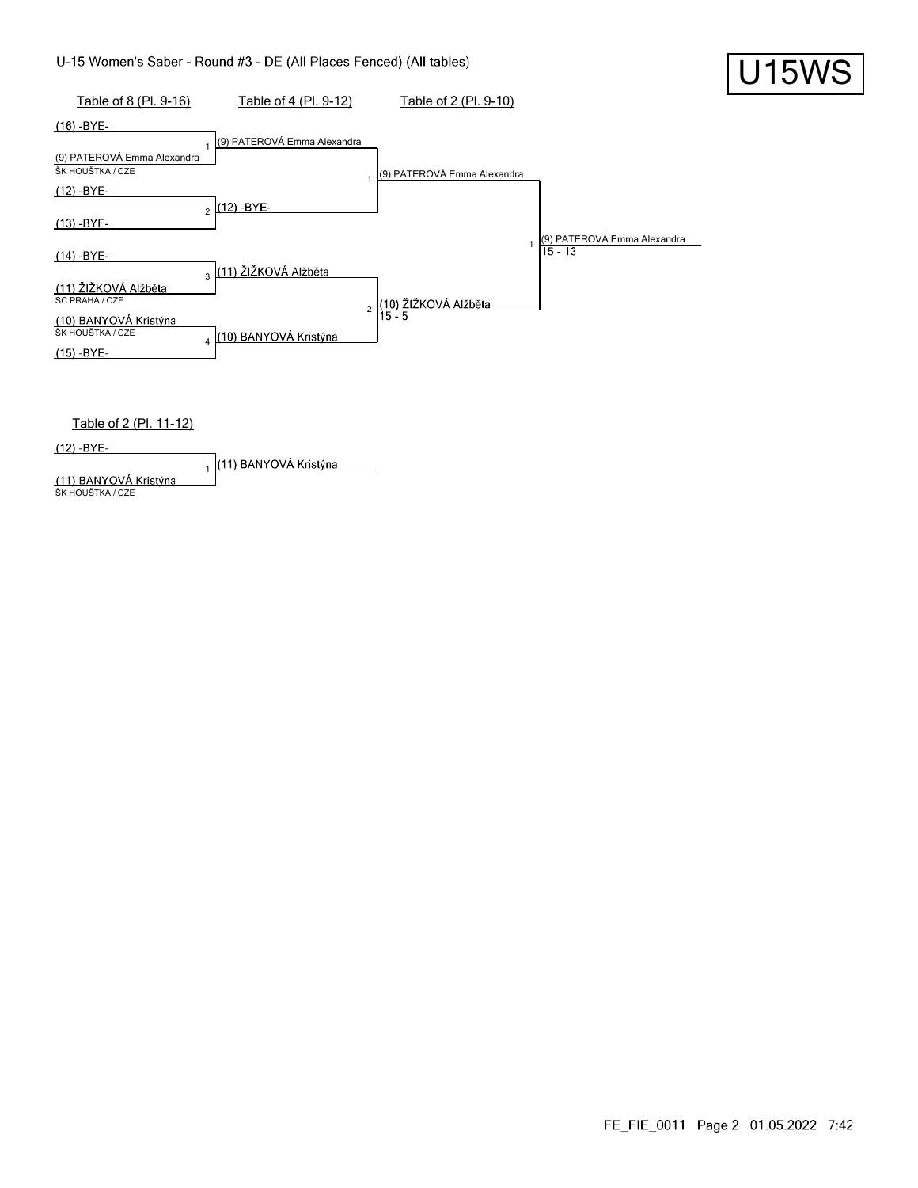

 $(12) - BYE -$ 1 (11) BANYOVÁ Kristýna **(11) BANYOVÁ Kristýna**<br>ŠK HOUŠTKA / CZE

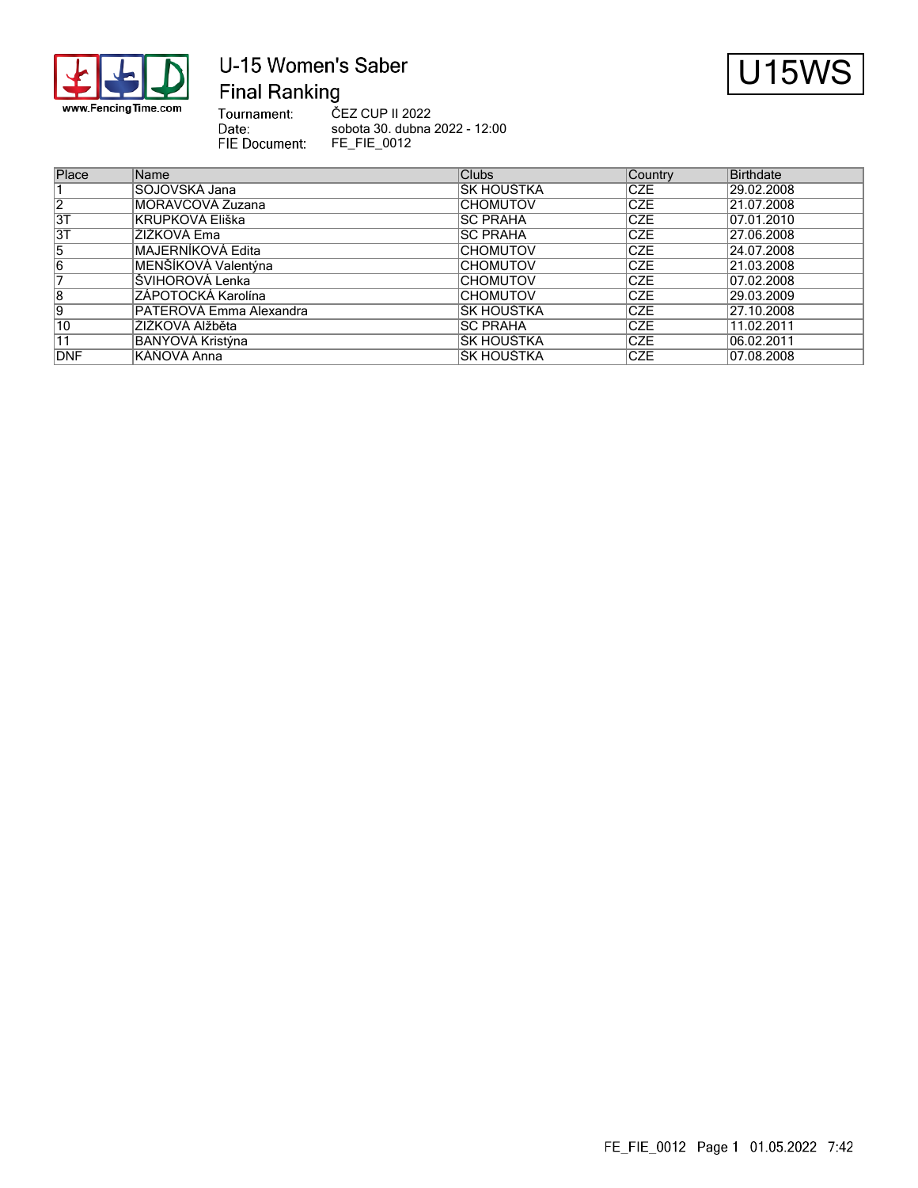

## U-15 Women's Saber **Final Ranking**



Tournament:<br>Date: ČEZ CUP II 2022 sobota 30. dubna 2022 - 12:00 FIE Document: FE\_FIE\_0012

| Place          | Name                    | <b>Clubs</b>     | Country     | Birthdate  |
|----------------|-------------------------|------------------|-------------|------------|
|                | SOJOVSKÁ Jana           | ŠK HOUŠTKA       | ICZE        | 29.02.2008 |
| $\overline{2}$ | MORAVCOVÁ Zuzana        | <b>CHOMUTOV</b>  | <b>CZE</b>  | 21.07.2008 |
| 3T             | KRUPKOVÁ Eliška         | <b>ISC PRAHA</b> | <b>ICZE</b> | 07.01.2010 |
| 3T             | ŽIŽKOVÁ Ema             | <b>ISC PRAHA</b> | <b>ICZE</b> | 27.06.2008 |
| $\overline{5}$ | IMAJERNÍKOVÁ Edita      | <b>CHOMUTOV</b>  | <b>ICZE</b> | 24.07.2008 |
| 6              | MENŠÍKOVÁ Valentýna     | <b>CHOMUTOV</b>  | <b>ICZE</b> | 21.03.2008 |
|                | <b>SVIHOROVÁ Lenka</b>  | <b>CHOMUTOV</b>  | <b>CZE</b>  | 07.02.2008 |
| $\overline{8}$ | ZÁPOTOCKÁ Karolína      | <b>CHOMUTOV</b>  | <b>CZE</b>  | 29.03.2009 |
| 9              | PATEROVÁ Emma Alexandra | ŠK HOUŠTKA       | <b>ICZE</b> | 27.10.2008 |
| 10             | ŽIŽKOVÁ Alžběta         | <b>ISC PRAHA</b> | <b>ICZE</b> | 11.02.2011 |
| 11             | BANYOVÁ Kristýna        | ŠK HOUŠTKA       | <b>ICZE</b> | 06.02.2011 |
| DNF            | KÁŇOVÁ Anna             | IŠK HOUŠTKA      | <b>ICZE</b> | 07.08.2008 |